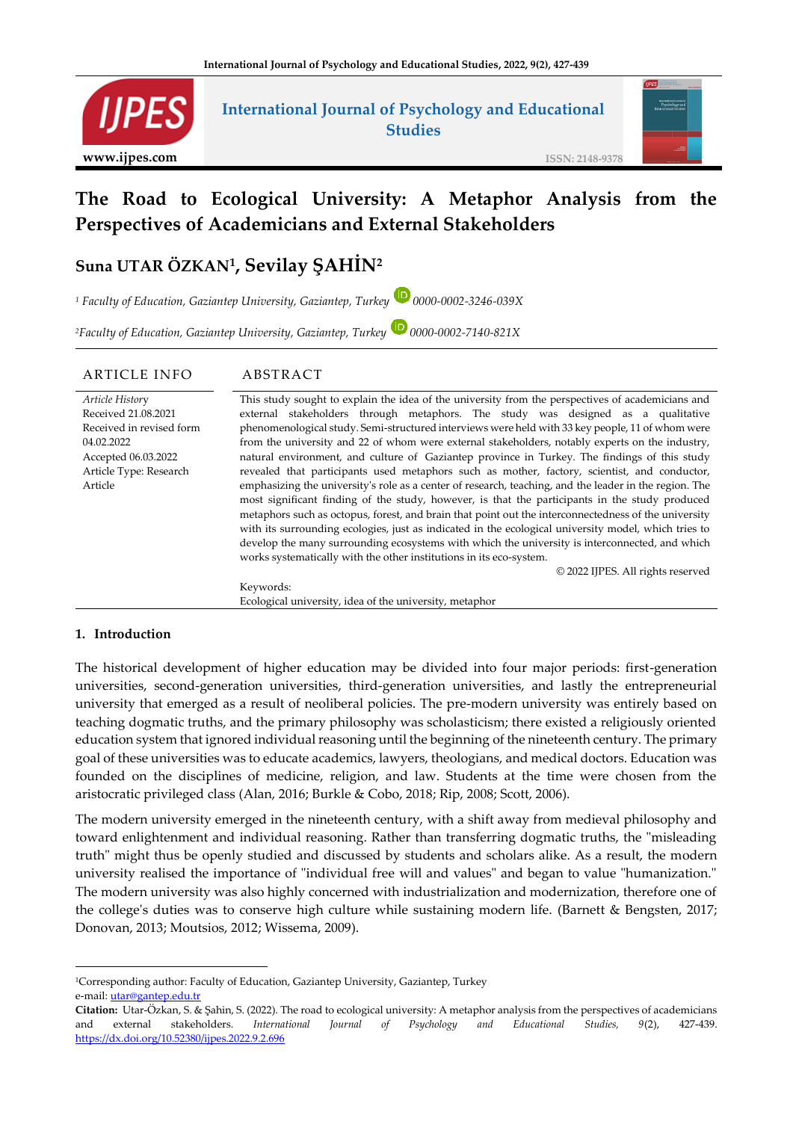

# **International Journal of Psychology and Educational Studies**



# **The Road to Ecological University: A Metaphor Analysis from the Perspectives of Academicians and External Stakeholders**

# **Suna UTAR ÖZKAN<sup>1</sup> , Sevilay ŞAHİN<sup>2</sup>**

<sup>1</sup> Faculty of Education, Gaziantep University, Gaziantep, Turkey **D** 0000-0002-3246-039X

*<sup>2</sup>Faculty of Education, Gaziantep University, Gaziantep, Turkey 0000-0002-7140-821X*

| ARTICLE INFO                                                                                                                                 | ABSTRACT                                                                                                                                                                                                                                                                                                                                                                                                                                                                                                                                                                                                                                                                                                                                                                                                                                                                                                                                                                                                                                                                                                                                                                                                                                            |
|----------------------------------------------------------------------------------------------------------------------------------------------|-----------------------------------------------------------------------------------------------------------------------------------------------------------------------------------------------------------------------------------------------------------------------------------------------------------------------------------------------------------------------------------------------------------------------------------------------------------------------------------------------------------------------------------------------------------------------------------------------------------------------------------------------------------------------------------------------------------------------------------------------------------------------------------------------------------------------------------------------------------------------------------------------------------------------------------------------------------------------------------------------------------------------------------------------------------------------------------------------------------------------------------------------------------------------------------------------------------------------------------------------------|
| Article History<br>Received 21.08.2021<br>Received in revised form<br>04.02.2022<br>Accepted 06.03.2022<br>Article Type: Research<br>Article | This study sought to explain the idea of the university from the perspectives of academicians and<br>external stakeholders through metaphors. The study was designed as a qualitative<br>phenomenological study. Semi-structured interviews were held with 33 key people, 11 of whom were<br>from the university and 22 of whom were external stakeholders, notably experts on the industry,<br>natural environment, and culture of Gaziantep province in Turkey. The findings of this study<br>revealed that participants used metaphors such as mother, factory, scientist, and conductor,<br>emphasizing the university's role as a center of research, teaching, and the leader in the region. The<br>most significant finding of the study, however, is that the participants in the study produced<br>metaphors such as octopus, forest, and brain that point out the interconnectedness of the university<br>with its surrounding ecologies, just as indicated in the ecological university model, which tries to<br>develop the many surrounding ecosystems with which the university is interconnected, and which<br>works systematically with the other institutions in its eco-system.<br>© 2022 IJPES. All rights reserved<br>Keywords: |
|                                                                                                                                              | Ecological university, idea of the university, metaphor                                                                                                                                                                                                                                                                                                                                                                                                                                                                                                                                                                                                                                                                                                                                                                                                                                                                                                                                                                                                                                                                                                                                                                                             |

## **1. Introduction**

The historical development of higher education may be divided into four major periods: first-generation universities, second-generation universities, third-generation universities, and lastly the entrepreneurial university that emerged as a result of neoliberal policies. The pre-modern university was entirely based on teaching dogmatic truths, and the primary philosophy was scholasticism; there existed a religiously oriented education system that ignored individual reasoning until the beginning of the nineteenth century. The primary goal of these universities was to educate academics, lawyers, theologians, and medical doctors. Education was founded on the disciplines of medicine, religion, and law. Students at the time were chosen from the aristocratic privileged class [\(Alan, 2016;](#page-9-0) [Burkle & Cobo, 2018;](#page-10-0) [Rip, 2008;](#page-11-0) [Scott, 2006\)](#page-11-1).

The modern university emerged in the nineteenth century, with a shift away from medieval philosophy and toward enlightenment and individual reasoning. Rather than transferring dogmatic truths, the "misleading truth" might thus be openly studied and discussed by students and scholars alike. As a result, the modern university realised the importance of "individual free will and values" and began to value "humanization." The modern university was also highly concerned with industrialization and modernization, therefore one of the college's duties was to conserve high culture while sustaining modern life. [\(Barnett & Bengsten, 2017;](#page-9-1) [Donovan, 2013;](#page-10-1) [Moutsios, 2012;](#page-11-2) [Wissema, 2009\)](#page-12-0).

<sup>1</sup>Corresponding author: Faculty of Education, Gaziantep University, Gaziantep, Turkey e-mail: *utar@gantep.edu.tr* 

**Citation:** Utar-Özkan, S. & Şahin, S. (2022). The road to ecological university: A metaphor analysis from the perspectives of academicians and external stakeholders. *International Journal of Psychology and Educational Studies, 9*(2), 427-439. <https://dx.doi.org/10.52380/ijpes.2022.9.2.696>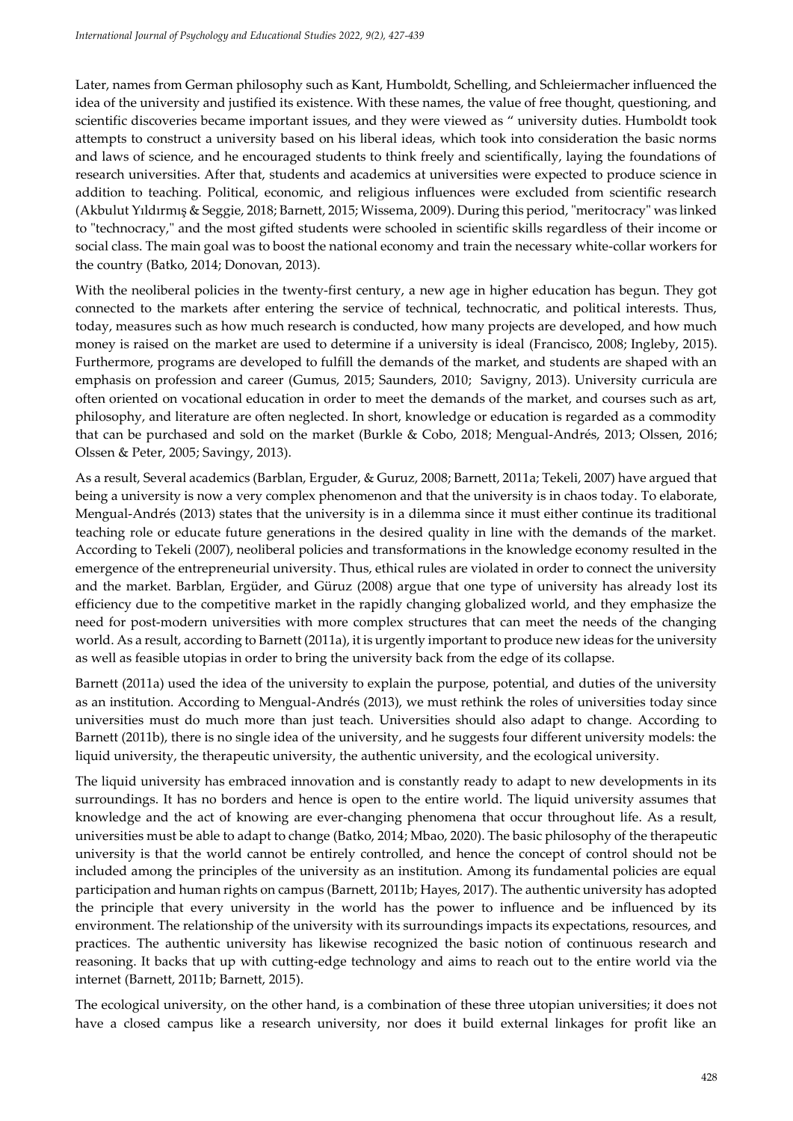Later, names from German philosophy such as Kant, Humboldt, Schelling, and Schleiermacher influenced the idea of the university and justified its existence. With these names, the value of free thought, questioning, and scientific discoveries became important issues, and they were viewed as " university duties. Humboldt took attempts to construct a university based on his liberal ideas, which took into consideration the basic norms and laws of science, and he encouraged students to think freely and scientifically, laying the foundations of research universities. After that, students and academics at universities were expected to produce science in addition to teaching. Political, economic, and religious influences were excluded from scientific research ([Akbulut Yıldırmış & Seg](#page-9-2)gie, 2018; Barnett, 2015[; Wissema, 2009\)](#page-12-0). During this period, "meritocracy" was linked to "technocracy," and the most gifted students were schooled in scientific skills regardless of their income or social class. The main goal was to boost the national economy and train the necessary white-collar workers for the country [\(Batko, 2014;](#page-10-2) [Donovan, 2013\)](#page-10-1).

With the neoliberal policies in the twenty-first century, a new age in higher education has begun. They got connected to the markets after entering the service of technical, technocratic, and political interests. Thus, today, measures such as how much research is conducted, how many projects are developed, and how much money is raised on the market are used to determine if a university is ideal [\(Francisco, 2008;](#page-10-3) Ingleby, 2015). Furthermore, programs are developed to fulfill the demands of the market, and students are shaped with an emphasis on profession and career (Gumus, 2015; Saunders, 2010; Savigny, 2013). University curricula are often oriented on vocational education in order to meet the demands of the market, and courses such as art, philosophy, and literature are often neglected. In short, knowledge or education is regarded as a commodity that can be purchased and sold on the market [\(Burkle & Cobo, 2018;](#page-10-0) Mengual-Andrés, 2013; Olssen, 2016; Olssen & Peter, 2005; Savingy, 2013).

As a result, Several academics (Barblan, Erguder, & Guruz, 2008; Barnett, 2011a; Tekeli, 2007) have argued that being a university is now a very complex phenomenon and that the university is in chaos today. To elaborate, Mengual-Andrés (2013) states that the university is in a dilemma since it must either continue its traditional teaching role or educate future generations in the desired quality in line with the demands of the market. According to Tekeli (2007), neoliberal policies and transformations in the knowledge economy resulted in the emergence of the entrepreneurial university. Thus, ethical rules are violated in order to connect the university and the market. Barblan, Ergüder, and Güruz (2008) argue that one type of university has already lost its efficiency due to the competitive market in the rapidly changing globalized world, and they emphasize the need for post-modern universities with more complex structures that can meet the needs of the changing world. As a result, according to Barnett (2011a), it is urgently important to produce new ideas for the university as well as feasible utopias in order to bring the university back from the edge of its collapse.

Barnett (2011a) used the idea of the university to explain the purpose, potential, and duties of the university as an institution. According to Mengual-Andrés (2013), we must rethink the roles of universities today since universities must do much more than just teach. Universities should also adapt to change. According to Barnett (2011b), there is no single idea of the university, and he suggests four different university models: the liquid university, the therapeutic university, the authentic university, and the ecological university.

The liquid university has embraced innovation and is constantly ready to adapt to new developments in its surroundings. It has no borders and hence is open to the entire world. The liquid university assumes that knowledge and the act of knowing are ever-changing phenomena that occur throughout life. As a result, universities must be able to adapt to change [\(Batko, 2014;](#page-10-2) [Mbao,](#page-11-3) 2020). The basic philosophy of the therapeutic university is that the world cannot be entirely controlled, and hence the concept of control should not be included among the principles of the university as an institution. Among its fundamental policies are equal participation and human rights on campus (Barnett, 2011b; Hayes, 2017). The authentic university has adopted the principle that every university in the world has the power to influence and be influenced by its environment. The relationship of the university with its surroundings impacts its expectations, resources, and practices. The authentic university has likewise recognized the basic notion of continuous research and reasoning. It backs that up with cutting-edge technology and aims to reach out to the entire world via the internet (Barnett, 2011b; Barnett, 2015).

The ecological university, on the other hand, is a combination of these three utopian universities; it does not have a closed campus like a research university, nor does it build external linkages for profit like an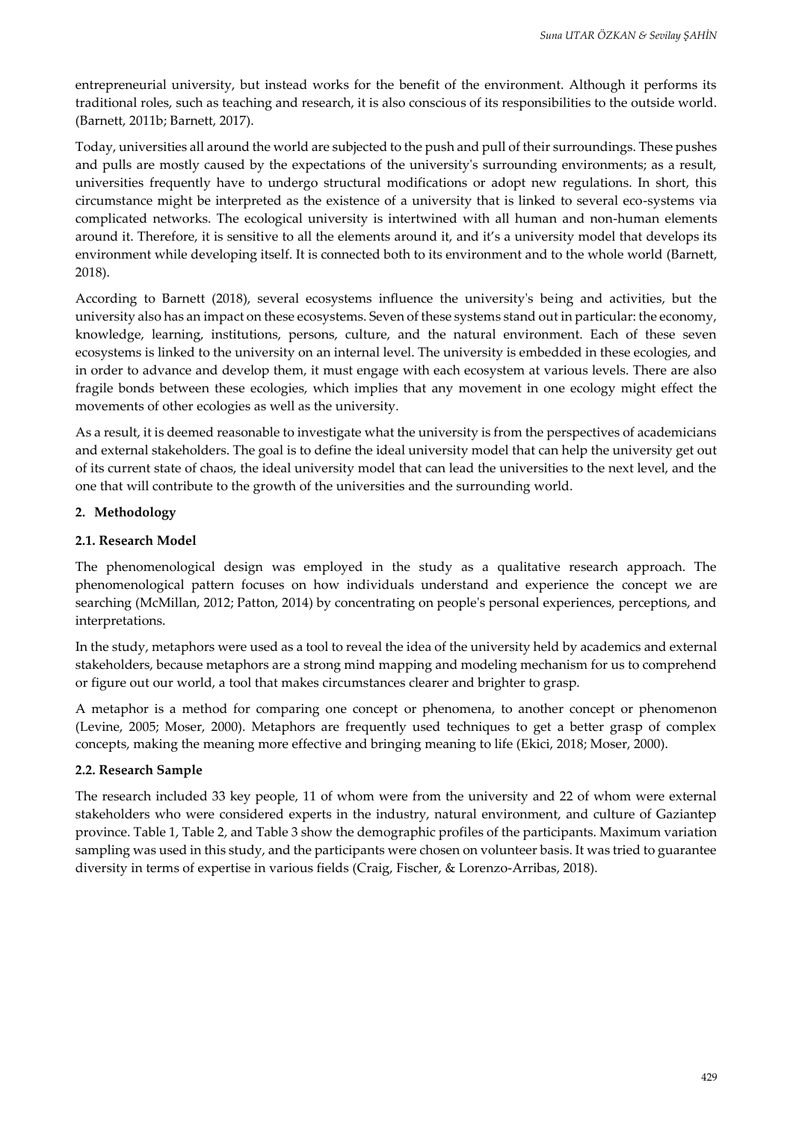entrepreneurial university, but instead works for the benefit of the environment. Although it performs its traditional roles, such as teaching and research, it is also conscious of its responsibilities to the outside world. (Barnett, 2011b; [Barnett, 2017\)](#page-12-1).

Today, universities all around the world are subjected to the push and pull of their surroundings. These pushes and pulls are mostly caused by the expectations of the university's surrounding environments; as a result, universities frequently have to undergo structural modifications or adopt new regulations. In short, this circumstance might be interpreted as the existence of a university that is linked to several eco-systems via complicated networks. The ecological university is intertwined with all human and non-human elements around it. Therefore, it is sensitive to all the elements around it, and it's a university model that develops its environment while developing itself. It is connected both to its environment and to the whole world (Barnett, 2018).

According to Barnett (2018), several ecosystems influence the university's being and activities, but the university also has an impact on these ecosystems. Seven of these systems stand out in particular: the economy, knowledge, learning, institutions, persons, culture, and the natural environment. Each of these seven ecosystems is linked to the university on an internal level. The university is embedded in these ecologies, and in order to advance and develop them, it must engage with each ecosystem at various levels. There are also fragile bonds between these ecologies, which implies that any movement in one ecology might effect the movements of other ecologies as well as the university.

As a result, it is deemed reasonable to investigate what the university is from the perspectives of academicians and external stakeholders. The goal is to define the ideal university model that can help the university get out of its current state of chaos, the ideal university model that can lead the universities to the next level, and the one that will contribute to the growth of the universities and the surrounding world.

## **2. Methodology**

# **2.1. Research Model**

The phenomenological design was employed in the study as a qualitative research approach. The phenomenological pattern focuses on how individuals understand and experience the concept we are searching (McMillan, 2012; Patton, 2014) by concentrating on people's personal experiences, perceptions, and interpretations.

In the study, metaphors were used as a tool to reveal the idea of the university held by academics and external stakeholders, because metaphors are a strong mind mapping and modeling mechanism for us to comprehend or figure out our world, a tool that makes circumstances clearer and brighter to grasp.

A metaphor is a method for comparing one concept or phenomena, to another concept or phenomenon (Levine, 2005; Moser, 2000). Metaphors are frequently used techniques to get a better grasp of complex concepts, making the meaning more effective and bringing meaning to life (Ekici, 2018; Moser, 2000).

## **2.2. Research Sample**

The research included 33 key people, 11 of whom were from the university and 22 of whom were external stakeholders who were considered experts in the industry, natural environment, and culture of Gaziantep province. Table 1, Table 2, and Table 3 show the demographic profiles of the participants. Maximum variation sampling was used in this study, and the participants were chosen on volunteer basis. It was tried to guarantee diversity in terms of expertise in various fields [\(Craig, Fischer, & Lorenzo-Arribas, 2018\).](#page-10-0)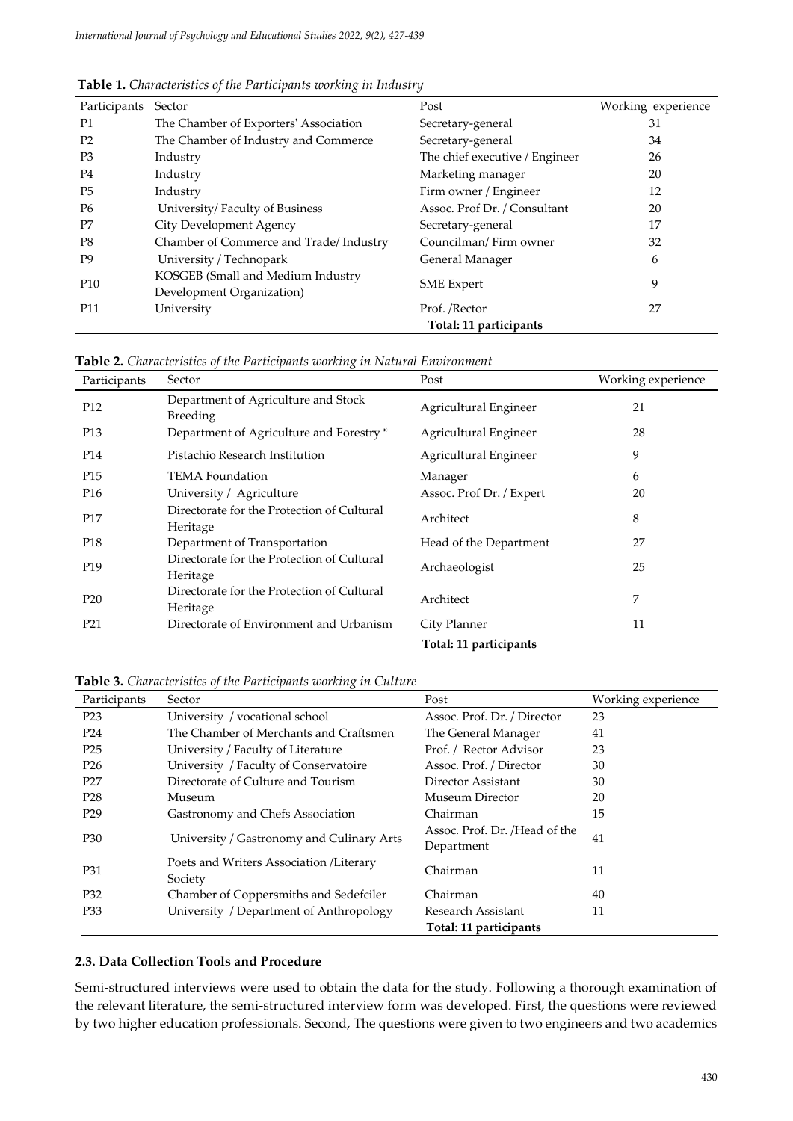| Participants    | Sector                                                         | Post                           | Working experience |
|-----------------|----------------------------------------------------------------|--------------------------------|--------------------|
| P1              | The Chamber of Exporters' Association                          | Secretary-general              | 31                 |
| P <sub>2</sub>  | The Chamber of Industry and Commerce                           | Secretary-general              | 34                 |
| P <sub>3</sub>  | Industry                                                       | The chief executive / Engineer | 26                 |
| P4              | Industry                                                       | Marketing manager              | 20                 |
| P <sub>5</sub>  | Industry                                                       | Firm owner / Engineer          | 12                 |
| P <sub>6</sub>  | University/Faculty of Business                                 | Assoc. Prof Dr. / Consultant   | 20                 |
| P7              | City Development Agency                                        | Secretary-general              | 17                 |
| P8              | Chamber of Commerce and Trade/Industry                         | Councilman/Firm owner          | 32                 |
| P <sub>9</sub>  | University / Technopark                                        | General Manager                | 6                  |
| P <sub>10</sub> | KOSGEB (Small and Medium Industry<br>Development Organization) | <b>SME</b> Expert              | 9                  |
| P <sub>11</sub> | University                                                     | Prof. /Rector                  | 27                 |
|                 |                                                                | Total: 11 participants         |                    |

**Table 1.** *Characteristics of the Participants working in Industry*

**Table 2.** *Characteristics of the Participants working in Natural Environment*

| Participants    | $\lambda$<br>Sector                                    | Post                     | Working experience |
|-----------------|--------------------------------------------------------|--------------------------|--------------------|
| P <sub>12</sub> | Department of Agriculture and Stock<br><b>Breeding</b> | Agricultural Engineer    | 21                 |
| P <sub>13</sub> | Department of Agriculture and Forestry *               | Agricultural Engineer    | 28                 |
| P14             | Pistachio Research Institution                         | Agricultural Engineer    | 9                  |
| P <sub>15</sub> | <b>TEMA Foundation</b>                                 | Manager                  | 6                  |
| P <sub>16</sub> | University / Agriculture                               | Assoc. Prof Dr. / Expert | 20                 |
| P <sub>17</sub> | Directorate for the Protection of Cultural<br>Heritage | Architect                | 8                  |
| P <sub>18</sub> | Department of Transportation                           | Head of the Department   | 27                 |
| P <sub>19</sub> | Directorate for the Protection of Cultural<br>Heritage | Archaeologist            | 25                 |
| P <sub>20</sub> | Directorate for the Protection of Cultural<br>Heritage | Architect                | 7                  |
| P <sub>21</sub> | Directorate of Environment and Urbanism                | City Planner             | 11                 |
|                 |                                                        | Total: 11 participants   |                    |

**Table 3.** *Characteristics of the Participants working in Culture*

| Participants    | Sector                                             | Post                                        | Working experience |
|-----------------|----------------------------------------------------|---------------------------------------------|--------------------|
| P <sub>23</sub> | University / vocational school                     | Assoc. Prof. Dr. / Director                 | 23                 |
| P <sub>24</sub> | The Chamber of Merchants and Craftsmen             | The General Manager                         | 41                 |
| P <sub>25</sub> | University / Faculty of Literature                 | Prof. / Rector Advisor                      | 23                 |
| P <sub>26</sub> | University / Faculty of Conservatoire              | Assoc. Prof. / Director                     | 30                 |
| P27             | Directorate of Culture and Tourism                 | Director Assistant                          | 30                 |
| P <sub>28</sub> | Museum                                             | Museum Director                             | 20                 |
| P <sub>29</sub> | Gastronomy and Chefs Association                   | Chairman                                    | 15                 |
| P30             | University / Gastronomy and Culinary Arts          | Assoc. Prof. Dr. /Head of the<br>Department | 41                 |
| P31             | Poets and Writers Association /Literary<br>Society | Chairman                                    | 11                 |
| P <sub>32</sub> | Chamber of Coppersmiths and Sedefciler             | Chairman                                    | 40                 |
| P33             | University / Department of Anthropology            | Research Assistant                          | 11                 |
|                 |                                                    | Total: 11 participants                      |                    |

#### **2.3. Data Collection Tools and Procedure**

Semi-structured interviews were used to obtain the data for the study. Following a thorough examination of the relevant literature, the semi-structured interview form was developed. First, the questions were reviewed by two higher education professionals. Second, The questions were given to two engineers and two academics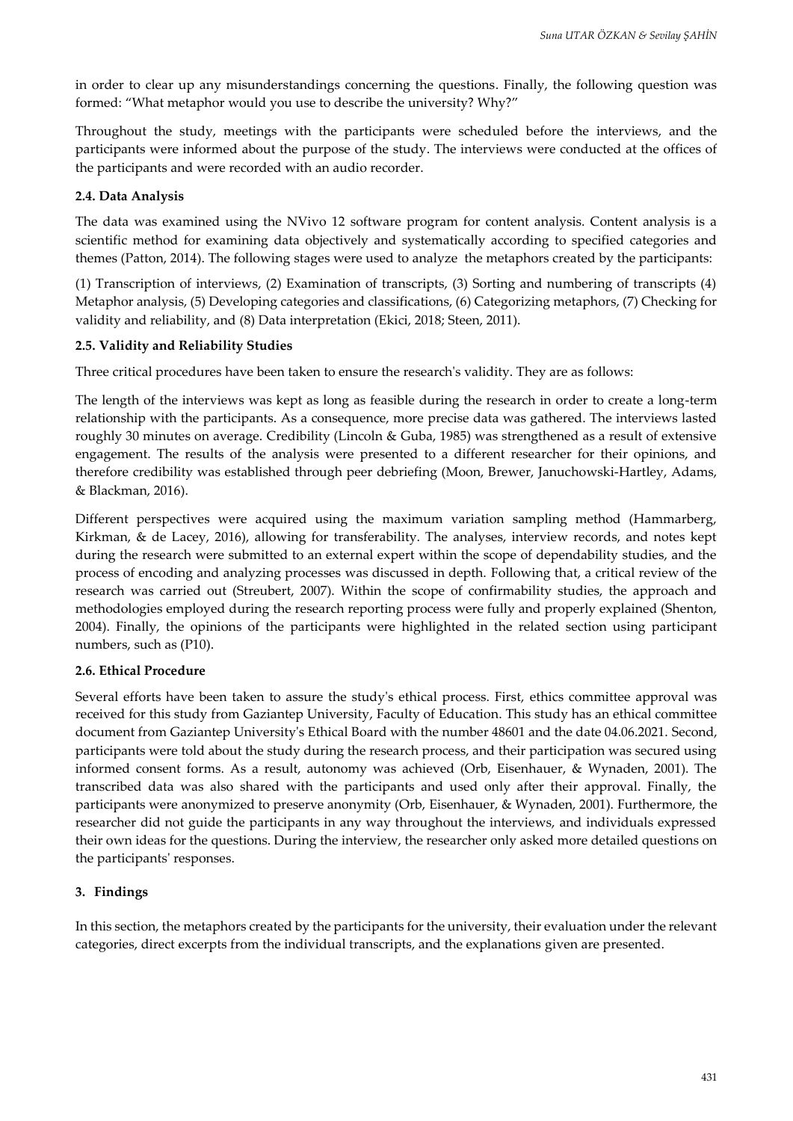in order to clear up any misunderstandings concerning the questions. Finally, the following question was formed: "What metaphor would you use to describe the university? Why?"

Throughout the study, meetings with the participants were scheduled before the interviews, and the participants were informed about the purpose of the study. The interviews were conducted at the offices of the participants and were recorded with an audio recorder.

# **2.4. Data Analysis**

The data was examined using the NVivo 12 software program for content analysis. Content analysis is a scientific method for examining data objectively and systematically according to specified categories and themes (Patton, 2014). The following stages were used to analyze the metaphors created by the participants:

(1) Transcription of interviews, (2) Examination of transcripts, (3) Sorting and numbering of transcripts (4) Metaphor analysis, (5) Developing categories and classifications, (6) Categorizing metaphors, (7) Checking for validity and reliability, and (8) Data interpretation (Ekici, 2018; Steen, 2011).

# **2.5. Validity and Reliability Studies**

Three critical procedures have been taken to ensure the research's validity. They are as follows:

The length of the interviews was kept as long as feasible during the research in order to create a long-term relationship with the participants. As a consequence, more precise data was gathered. The interviews lasted roughly 30 minutes on average. Credibility (Lincoln & Guba, 1985) was strengthened as a result of extensive engagement. The results of the analysis were presented to a different researcher for their opinions, and therefore credibility was established through peer debriefing (Moon, Brewer, Januchowski-Hartley, Adams, & Blackman, 2016).

Different perspectives were acquired using the maximum variation sampling method (Hammarberg, Kirkman, & de Lacey, 2016), allowing for transferability. The analyses, interview records, and notes kept during the research were submitted to an external expert within the scope of dependability studies, and the process of encoding and analyzing processes was discussed in depth. Following that, a critical review of the research was carried out (Streubert, 2007). Within the scope of confirmability studies, the approach and methodologies employed during the research reporting process were fully and properly explained (Shenton, 2004). Finally, the opinions of the participants were highlighted in the related section using participant numbers, such as (P10).

# **2.6. Ethical Procedure**

Several efforts have been taken to assure the study's ethical process. First, ethics committee approval was received for this study from Gaziantep University, Faculty of Education. This study has an ethical committee document from Gaziantep University's Ethical Board with the number 48601 and the date 04.06.2021. Second, participants were told about the study during the research process, and their participation was secured using informed consent forms. As a result, autonomy was achieved (Orb, Eisenhauer, & Wynaden, 2001). The transcribed data was also shared with the participants and used only after their approval. Finally, the participants were anonymized to preserve anonymity (Orb, Eisenhauer, & Wynaden, 2001). Furthermore, the researcher did not guide the participants in any way throughout the interviews, and individuals expressed their own ideas for the questions. During the interview, the researcher only asked more detailed questions on the participants' responses.

# **3. Findings**

In this section, the metaphors created by the participants for the university, their evaluation under the relevant categories, direct excerpts from the individual transcripts, and the explanations given are presented.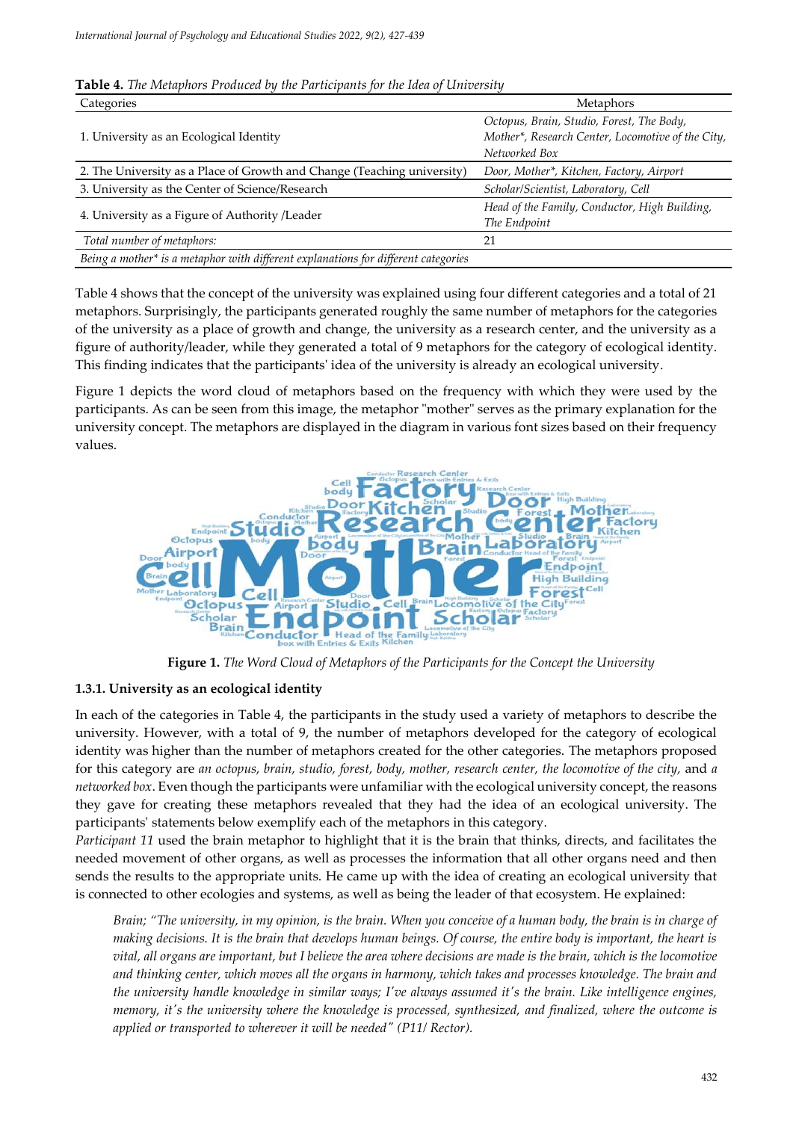| Categories                                                                         | <b>Metaphors</b>                                  |
|------------------------------------------------------------------------------------|---------------------------------------------------|
|                                                                                    | Octopus, Brain, Studio, Forest, The Body,         |
| 1. University as an Ecological Identity                                            | Mother*, Research Center, Locomotive of the City, |
|                                                                                    | Networked Box                                     |
| 2. The University as a Place of Growth and Change (Teaching university)            | Door, Mother*, Kitchen, Factory, Airport          |
| 3. University as the Center of Science/Research                                    | Scholar/Scientist, Laboratory, Cell               |
|                                                                                    | Head of the Family, Conductor, High Building,     |
| 4. University as a Figure of Authority /Leader                                     | The Endpoint                                      |
| Total number of metaphors:                                                         | 21                                                |
| Being a mother* is a metaphor with different explanations for different categories |                                                   |

**Table 4.** *The Metaphors Produced by the Participants for the Idea of University*

Table 4 shows that the concept of the university was explained using four different categories and a total of 21 metaphors. Surprisingly, the participants generated roughly the same number of metaphors for the categories of the university as a place of growth and change, the university as a research center, and the university as a figure of authority/leader, while they generated a total of 9 metaphors for the category of ecological identity. This finding indicates that the participants' idea of the university is already an ecological university.

Figure 1 depicts the word cloud of metaphors based on the frequency with which they were used by the participants. As can be seen from this image, the metaphor "mother" serves as the primary explanation for the university concept. The metaphors are displayed in the diagram in various font sizes based on their frequency values.



**Figure 1.** *The Word Cloud of Metaphors of the Participants for the Concept the University*

## **1.3.1. University as an ecological identity**

In each of the categories in Table 4, the participants in the study used a variety of metaphors to describe the university. However, with a total of 9, the number of metaphors developed for the category of ecological identity was higher than the number of metaphors created for the other categories. The metaphors proposed for this category are *an octopus, brain, studio, forest, body, mother, research center, the locomotive of the city,* and *a networked box*. Even though the participants were unfamiliar with the ecological university concept, the reasons they gave for creating these metaphors revealed that they had the idea of an ecological university. The participants' statements below exemplify each of the metaphors in this category.

*Participant 11* used the brain metaphor to highlight that it is the brain that thinks, directs, and facilitates the needed movement of other organs, as well as processes the information that all other organs need and then sends the results to the appropriate units. He came up with the idea of creating an ecological university that is connected to other ecologies and systems, as well as being the leader of that ecosystem. He explained:

*Brain; "The university, in my opinion, is the brain. When you conceive of a human body, the brain is in charge of making decisions. It is the brain that develops human beings. Of course, the entire body is important, the heart is vital, all organs are important, but I believe the area where decisions are made is the brain, which is the locomotive and thinking center, which moves all the organs in harmony, which takes and processes knowledge. The brain and the university handle knowledge in similar ways; I've always assumed it's the brain. Like intelligence engines, memory, it's the university where the knowledge is processed, synthesized, and finalized, where the outcome is applied or transported to wherever it will be needed" (P11/ Rector).*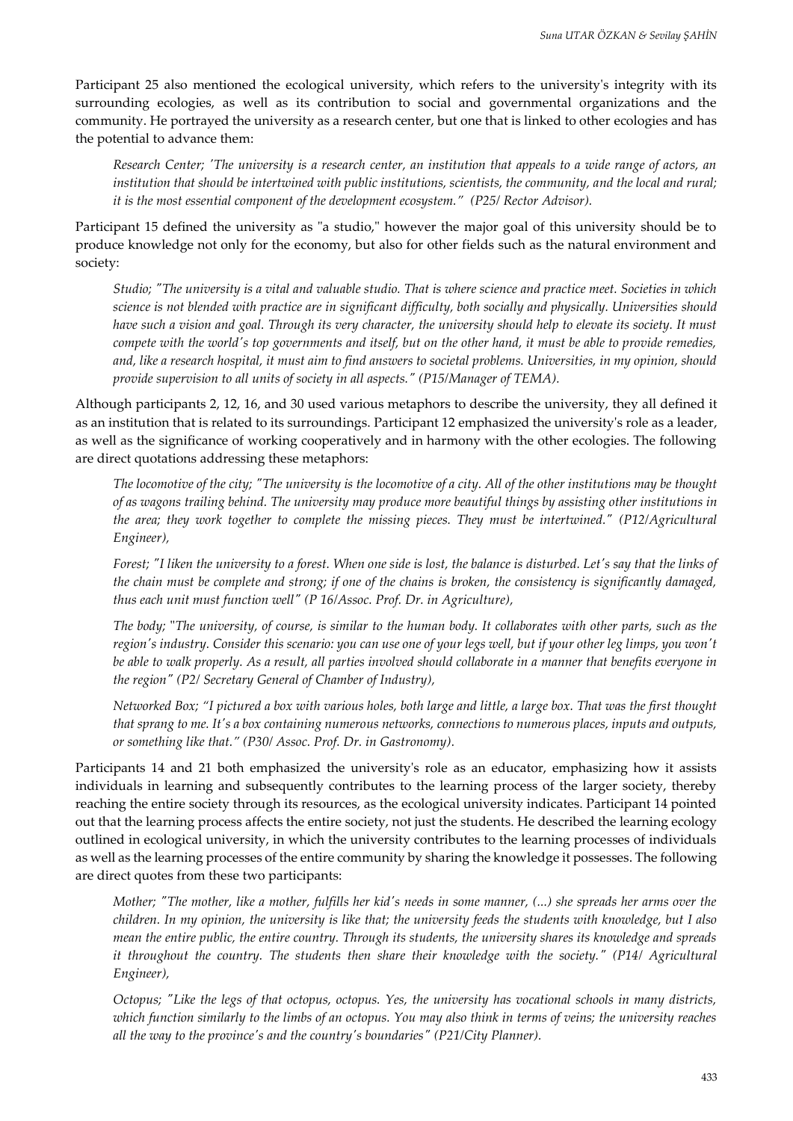Participant 25 also mentioned the ecological university, which refers to the university's integrity with its surrounding ecologies, as well as its contribution to social and governmental organizations and the community. He portrayed the university as a research center, but one that is linked to other ecologies and has the potential to advance them:

*Research Center; 'The university is a research center, an institution that appeals to a wide range of actors, an institution that should be intertwined with public institutions, scientists, the community, and the local and rural; it is the most essential component of the development ecosystem." (P25/ Rector Advisor).*

Participant 15 defined the university as "a studio," however the major goal of this university should be to produce knowledge not only for the economy, but also for other fields such as the natural environment and society:

*Studio; "The university is a vital and valuable studio. That is where science and practice meet. Societies in which science is not blended with practice are in significant difficulty, both socially and physically. Universities should have such a vision and goal. Through its very character, the university should help to elevate its society. It must compete with the world's top governments and itself, but on the other hand, it must be able to provide remedies, and, like a research hospital, it must aim to find answers to societal problems. Universities, in my opinion, should provide supervision to all units of society in all aspects." (P15/Manager of TEMA).*

Although participants 2, 12, 16, and 30 used various metaphors to describe the university, they all defined it as an institution that is related to its surroundings. Participant 12 emphasized the university's role as a leader, as well as the significance of working cooperatively and in harmony with the other ecologies. The following are direct quotations addressing these metaphors:

*The locomotive of the city; "The university is the locomotive of a city. All of the other institutions may be thought of as wagons trailing behind. The university may produce more beautiful things by assisting other institutions in the area; they work together to complete the missing pieces. They must be intertwined." (P12/Agricultural Engineer),*

*Forest; "I liken the university to a forest. When one side is lost, the balance is disturbed. Let's say that the links of the chain must be complete and strong; if one of the chains is broken, the consistency is significantly damaged, thus each unit must function well" (P 16/Assoc. Prof. Dr. in Agriculture),*

*The body;* "*The university, of course, is similar to the human body. It collaborates with other parts, such as the region's industry. Consider this scenario: you can use one of your legs well, but if your other leg limps, you won't be able to walk properly. As a result, all parties involved should collaborate in a manner that benefits everyone in the region" (P2/ Secretary General of Chamber of Industry),*

*Networked Box; "I pictured a box with various holes, both large and little, a large box. That was the first thought that sprang to me. It's a box containing numerous networks, connections to numerous places, inputs and outputs, or something like that." (P30/ Assoc. Prof. Dr. in Gastronomy).*

Participants 14 and 21 both emphasized the university's role as an educator, emphasizing how it assists individuals in learning and subsequently contributes to the learning process of the larger society, thereby reaching the entire society through its resources, as the ecological university indicates. Participant 14 pointed out that the learning process affects the entire society, not just the students. He described the learning ecology outlined in ecological university, in which the university contributes to the learning processes of individuals as well as the learning processes of the entire community by sharing the knowledge it possesses. The following are direct quotes from these two participants:

*Mother; "The mother, like a mother, fulfills her kid's needs in some manner, (...) she spreads her arms over the children. In my opinion, the university is like that; the university feeds the students with knowledge, but I also mean the entire public, the entire country. Through its students, the university shares its knowledge and spreads it throughout the country. The students then share their knowledge with the society." (P14/ Agricultural Engineer),*

*Octopus; "Like the legs of that octopus, octopus. Yes, the university has vocational schools in many districts, which function similarly to the limbs of an octopus. You may also think in terms of veins; the university reaches all the way to the province's and the country's boundaries" (P21/City Planner).*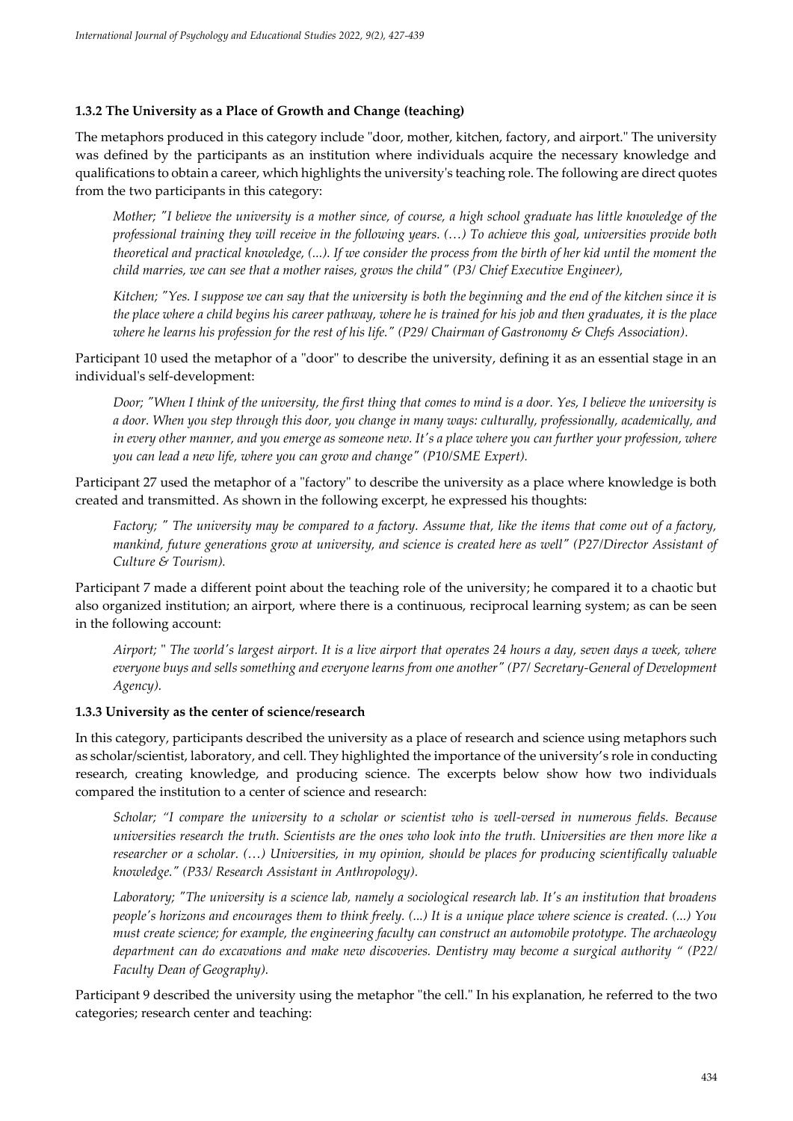# **1.3.2 The University as a Place of Growth and Change (teaching)**

The metaphors produced in this category include "door, mother, kitchen, factory, and airport." The university was defined by the participants as an institution where individuals acquire the necessary knowledge and qualifications to obtain a career, which highlights the university's teaching role. The following are direct quotes from the two participants in this category:

*Mother; "I believe the university is a mother since, of course, a high school graduate has little knowledge of the professional training they will receive in the following years. (…) To achieve this goal, universities provide both theoretical and practical knowledge, (...). If we consider the process from the birth of her kid until the moment the child marries, we can see that a mother raises, grows the child" (P3/ Chief Executive Engineer),*

*Kitchen; "Yes. I suppose we can say that the university is both the beginning and the end of the kitchen since it is the place where a child begins his career pathway, where he is trained for his job and then graduates, it is the place where he learns his profession for the rest of his life." (P29/ Chairman of Gastronomy & Chefs Association).*

Participant 10 used the metaphor of a "door" to describe the university, defining it as an essential stage in an individual's self-development:

*Door; "When I think of the university, the first thing that comes to mind is a door. Yes, I believe the university is a door. When you step through this door, you change in many ways: culturally, professionally, academically, and in every other manner, and you emerge as someone new. It's a place where you can further your profession, where you can lead a new life, where you can grow and change" (P10/SME Expert).*

Participant 27 used the metaphor of a "factory" to describe the university as a place where knowledge is both created and transmitted. As shown in the following excerpt, he expressed his thoughts:

*Factory; " The university may be compared to a factory. Assume that, like the items that come out of a factory, mankind, future generations grow at university, and science is created here as well" (P27/Director Assistant of Culture & Tourism).*

Participant 7 made a different point about the teaching role of the university; he compared it to a chaotic but also organized institution; an airport, where there is a continuous, reciprocal learning system; as can be seen in the following account:

*Airport;* " *The world's largest airport. It is a live airport that operates 24 hours a day, seven days a week, where everyone buys and sells something and everyone learns from one another" (P7/ Secretary-General of Development Agency).*

## **1.3.3 University as the center of science/research**

In this category, participants described the university as a place of research and science using metaphors such as scholar/scientist, laboratory, and cell. They highlighted the importance of the university's role in conducting research, creating knowledge, and producing science. The excerpts below show how two individuals compared the institution to a center of science and research:

*Scholar; "I compare the university to a scholar or scientist who is well-versed in numerous fields. Because universities research the truth. Scientists are the ones who look into the truth. Universities are then more like a researcher or a scholar. (…) Universities, in my opinion, should be places for producing scientifically valuable knowledge." (P33/ Research Assistant in Anthropology).*

*Laboratory; "The university is a science lab, namely a sociological research lab. It's an institution that broadens people's horizons and encourages them to think freely. (...) It is a unique place where science is created. (...) You must create science; for example, the engineering faculty can construct an automobile prototype. The archaeology department can do excavations and make new discoveries. Dentistry may become a surgical authority " (P22/ Faculty Dean of Geography).*

Participant 9 described the university using the metaphor "the cell." In his explanation, he referred to the two categories; research center and teaching: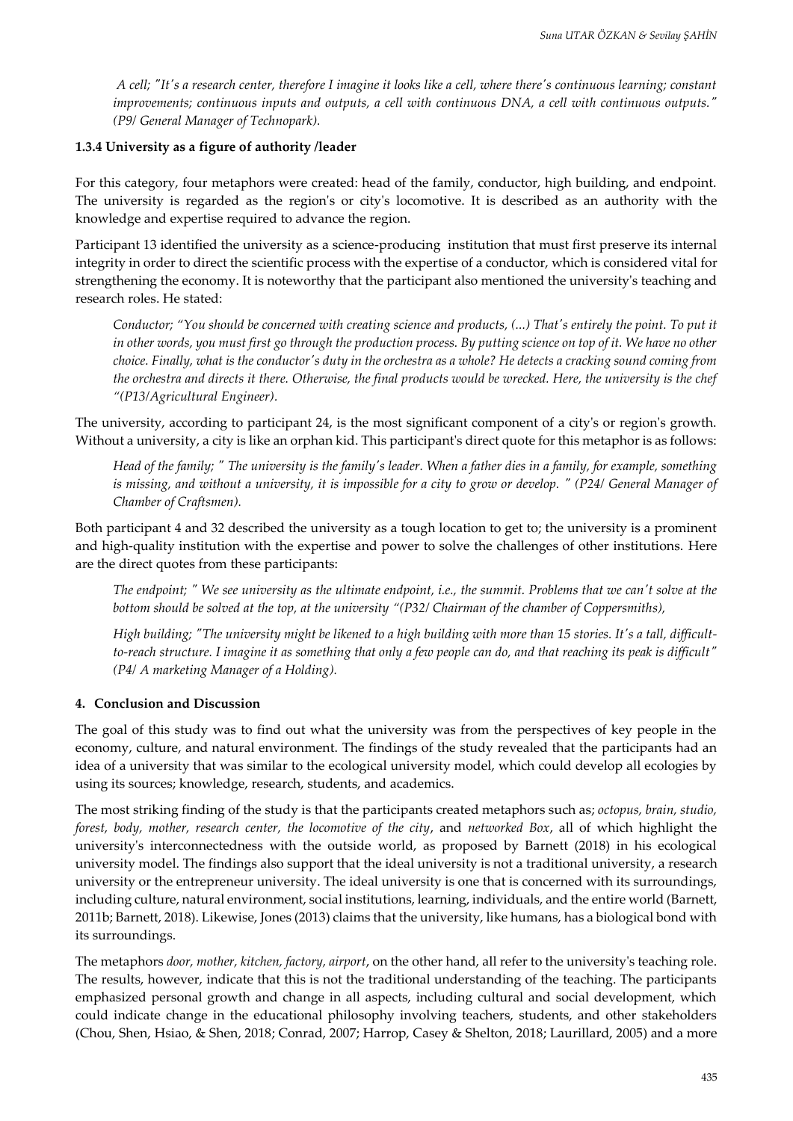*A cell; "It's a research center, therefore I imagine it looks like a cell, where there's continuous learning; constant improvements; continuous inputs and outputs, a cell with continuous DNA, a cell with continuous outputs." (P9/ General Manager of Technopark).*

## **1.3.4 University as a figure of authority /leader**

For this category, four metaphors were created: head of the family, conductor, high building, and endpoint. The university is regarded as the region's or city's locomotive. It is described as an authority with the knowledge and expertise required to advance the region.

Participant 13 identified the university as a science-producing institution that must first preserve its internal integrity in order to direct the scientific process with the expertise of a conductor, which is considered vital for strengthening the economy. It is noteworthy that the participant also mentioned the university's teaching and research roles. He stated:

*Conductor; "You should be concerned with creating science and products, (...) That's entirely the point. To put it*  in other words, you must first go through the production process. By putting science on top of it. We have no other *choice. Finally, what is the conductor's duty in the orchestra as a whole? He detects a cracking sound coming from the orchestra and directs it there. Otherwise, the final products would be wrecked. Here, the university is the chef "(P13/Agricultural Engineer).*

The university, according to participant 24, is the most significant component of a city's or region's growth. Without a university, a city is like an orphan kid. This participant's direct quote for this metaphor is as follows:

*Head of the family; " The university is the family's leader. When a father dies in a family, for example, something is missing, and without a university, it is impossible for a city to grow or develop. " (P24/ General Manager of Chamber of Craftsmen).*

Both participant 4 and 32 described the university as a tough location to get to; the university is a prominent and high-quality institution with the expertise and power to solve the challenges of other institutions. Here are the direct quotes from these participants:

*The endpoint; " We see university as the ultimate endpoint, i.e., the summit. Problems that we can't solve at the bottom should be solved at the top, at the university "(P32/ Chairman of the chamber of Coppersmiths),*

*High building; "The university might be likened to a high building with more than 15 stories. It's a tall, difficultto-reach structure. I imagine it as something that only a few people can do, and that reaching its peak is difficult" (P4/ A marketing Manager of a Holding).*

## **4. Conclusion and Discussion**

The goal of this study was to find out what the university was from the perspectives of key people in the economy, culture, and natural environment. The findings of the study revealed that the participants had an idea of a university that was similar to the ecological university model, which could develop all ecologies by using its sources; knowledge, research, students, and academics.

The most striking finding of the study is that the participants created metaphors such as; *octopus, brain, studio, forest, body, mother, research center, the locomotive of the city*, and *networked Box*, all of which highlight the university's interconnectedness with the outside world, as proposed by Barnett (2018) in his ecological university model. The findings also support that the ideal university is not a traditional university, a research university or the entrepreneur university. The ideal university is one that is concerned with its surroundings, including culture, natural environment, social institutions, learning, individuals, and the entire world (Barnett, 2011b; [Barnett, 2018\)](#page-12-1). Likewise, Jones (2013) claims that the university, like humans, has a biological bond with its surroundings.

The metaphors *door, mother, kitchen, factory, airport*, on the other hand, all refer to the university's teaching role. The results, however, indicate that this is not the traditional understanding of the teaching. The participants emphasized personal growth and change in all aspects, including cultural and social development, which could indicate change in the educational philosophy involving teachers, students, and other stakeholders [\(Chou, Shen, Hsiao, & Shen, 2018;](#page-10-4) [Conrad, 2007;](#page-10-5) [Harrop, Casey & Shelton, 2018;](#page-10-6) [Laurillard, 2005\)](#page-11-4) and a more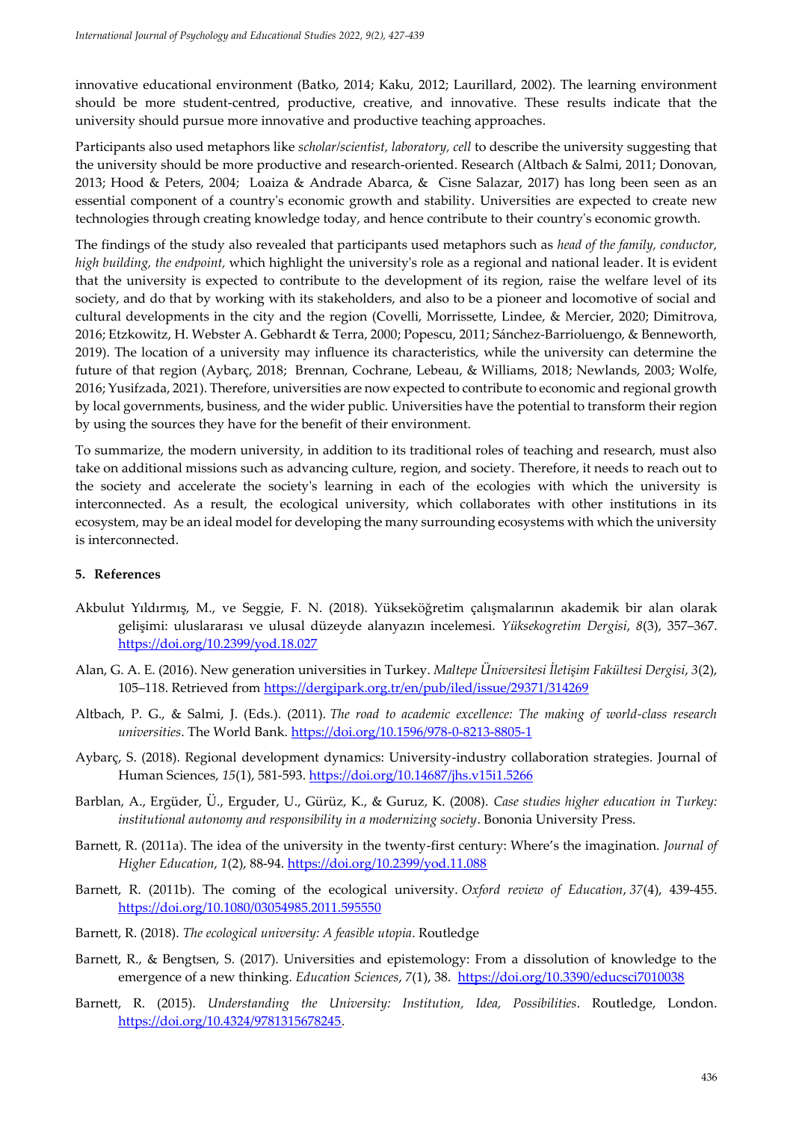innovative educational environment [\(Batko, 2014;](#page-10-2) [Kaku, 2012;](#page-10-7) Laurillard, 2002). The learning environment should be more student-centred, productive, creative, and innovative. These results indicate that the university should pursue more innovative and productive teaching approaches.

Participants also used metaphors like *scholar/scientist, laboratory, cell* to describe the university suggesting that the university should be more productive and research-oriented. Research (Altbach [& Salmi, 2011;](#page-9-3) [Donovan,](#page-10-1)  [2013;](#page-10-1) [Hood & Peters, 2004;](#page-10-8) [Loaiza & Andrade Abarca, & Cisne Salazar, 2017\)](#page-11-5) has long been seen as an essential component of a country's economic growth and stability. Universities are expected to create new technologies through creating knowledge today, and hence contribute to their country's economic growth.

The findings of the study also revealed that participants used metaphors such as *head of the family, conductor, high building, the endpoint,* which highlight the university's role as a regional and national leader. It is evident that the university is expected to contribute to the development of its region, raise the welfare level of its society, and do that by working with its stakeholders, and also to be a pioneer and locomotive of social and cultural developments in the city and the region (Covelli, [Morrissette,](#page-10-9) Lindee, & Mercier, 2020; [Dimitrova,](#page-10-10)  [2016;](#page-10-10) [Etzkowitz, H. Webster A. Gebhardt & Terra, 2000;](#page-10-11) [Popescu, 2011;](#page-11-6) Sánchez[-Barrioluengo, & Benneworth,](#page-11-7)  [2019\)](#page-11-7). The location of a university may influence its characteristics, while the university can determine the future of that region ([Aybarç, 2018](#page-9-4); [Brennan, Cochrane, Lebeau, & Williams, 2018;](#page-10-12) [Newlands, 2003;](#page-11-8) [Wolfe,](#page-12-2)  [2016;](#page-12-2) [Yusifzada, 2021\)](#page-12-3). Therefore, universities are now expected to contribute to economic and regional growth by local governments, business, and the wider public. Universities have the potential to transform their region by using the sources they have for the benefit of their environment.

To summarize, the modern university, in addition to its traditional roles of teaching and research, must also take on additional missions such as advancing culture, region, and society. Therefore, it needs to reach out to the society and accelerate the society's learning in each of the ecologies with which the university is interconnected. As a result, the ecological university, which collaborates with other institutions in its ecosystem, may be an ideal model for developing the many surrounding ecosystems with which the university is interconnected.

#### <span id="page-9-2"></span>**5. References**

- Akbulut Yıldırmış, M., ve Seggie, F. N. (2018). Yükseköğretim çalışmalarının akademik bir alan olarak gelişimi: uluslararası ve ulusal düzeyde alanyazın incelemesi. *Yüksekogretim Dergisi*, *8*(3), 357–367. <https://doi.org/10.2399/yod.18.027>
- <span id="page-9-0"></span>Alan, G. A. E. (2016). New generation universities in Turkey. *Maltepe Üniversitesi İletişim Fakültesi Dergisi*, *3*(2), 105–118. Retrieved from<https://dergipark.org.tr/en/pub/iled/issue/29371/314269>
- <span id="page-9-3"></span>Altbach, P. G., & Salmi, J. (Eds.). (2011). *The road to academic excellence: The making of world-class research universities*. The World Bank.<https://doi.org/10.1596/978-0-8213-8805-1>
- <span id="page-9-4"></span>Aybarç, S. (2018). Regional development dynamics: University-industry collaboration strategies. Journal of Human Sciences, 15(1), 581-593.<https://doi.org/10.14687/jhs.v15i1.5266>
- Barblan, A., Ergüder, Ü., Erguder, U., Gürüz, K., & Guruz, K. (2008). *Case studies higher education in Turkey: institutional autonomy and responsibility in a modernizing society*. Bononia University Press.
- Barnett, R. (2011a). The idea of the university in the twenty-first century: Where's the imagination. *Journal of Higher Education*, *1*(2), 88-94.<https://doi.org/10.2399/yod.11.088>
- Barnett, R. (2011b). The coming of the ecological university. *Oxford review of Education*, *37*(4), 439-455. <https://doi.org/10.1080/03054985.2011.595550>
- Barnett, R. (2018). *The ecological university: A feasible utopia*. Routledge
- <span id="page-9-1"></span>Barnett, R., & Bengtsen, S. (2017). Universities and epistemology: From a dissolution of knowledge to the emergence of a new thinking. *Education Sciences*, *7*(1), 38.<https://doi.org/10.3390/educsci7010038>
- Barnett, R. (2015). *Understanding the University: Institution, Idea, Possibilities*. Routledge, London. [https://doi.org/10.4324/9781315678245.](https://doi.org/10.4324/9781315678245)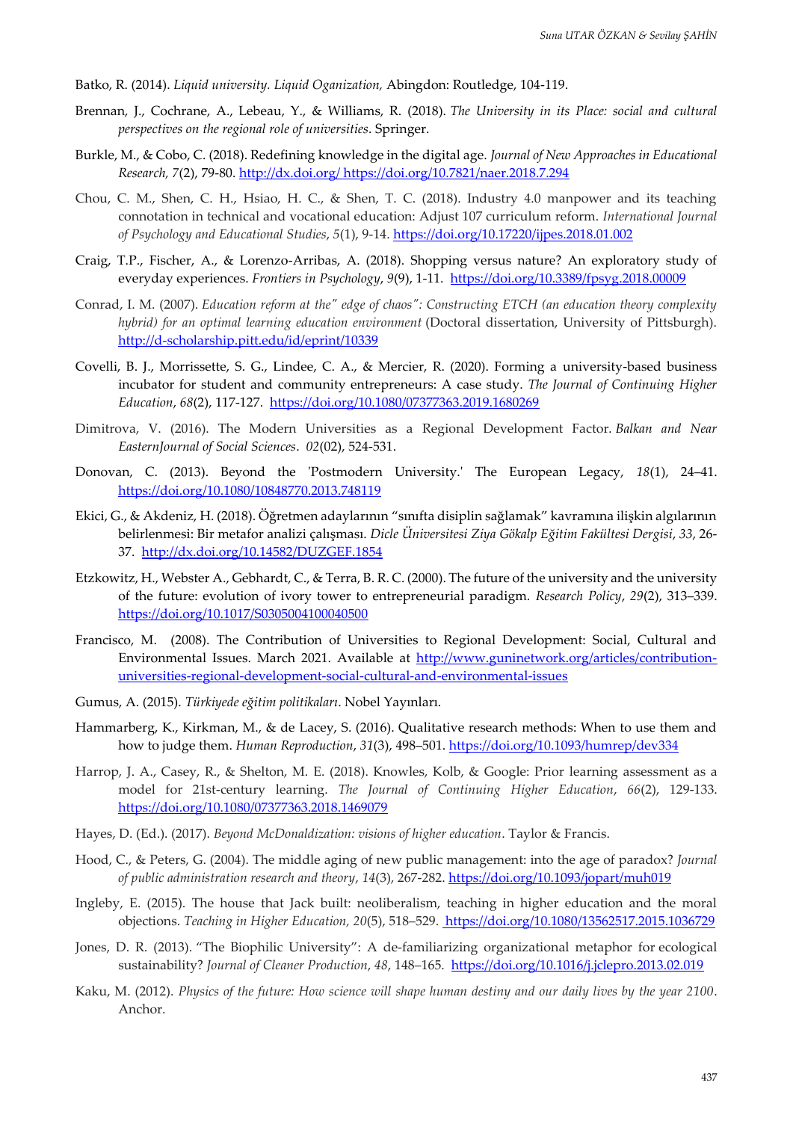- <span id="page-10-2"></span>Batko, R. (2014). *Liquid university. Liquid Oganization,* Abingdon: Routledge, 104-119.
- <span id="page-10-12"></span>Brennan, J., Cochrane, A., Lebeau, Y., & Williams, R. (2018). *The University in its Place: social and cultural perspectives on the regional role of universities*. Springer.
- <span id="page-10-0"></span>Burkle, M., & Cobo, C. (2018). Redefining knowledge in the digital age. *Journal of New Approaches in Educational Research, 7*(2), 79-80[. http://dx.doi.org/ https://doi.org/10.7821/naer.2018.7.294](http://dx.doi.org/%20https:/doi.org/10.7821/naer.2018.7.294)
- <span id="page-10-4"></span>Chou, C. M., Shen, C. H., Hsiao, H. C., & Shen, T. C. (2018). Industry 4.0 manpower and its teaching connotation in technical and vocational education: Adjust 107 curriculum reform. *International Journal of Psychology and Educational Studies*, *5*(1), 9-14.<https://doi.org/10.17220/ijpes.2018.01.002>
- Craig, T.P., Fischer, A., & Lorenzo-Arribas, A. (2018). Shopping versus nature? An exploratory study of everyday experiences. *Frontiers in Psychology*, *9*(9), 1-11. <https://doi.org/10.3389/fpsyg.2018.00009>
- <span id="page-10-5"></span>Conrad, I. M. (2007). *Education reform at the" edge of chaos": Constructing ETCH (an education theory complexity hybrid) for an optimal learning education environment* (Doctoral dissertation, University of Pittsburgh). <http://d-scholarship.pitt.edu/id/eprint/10339>
- <span id="page-10-9"></span>Covelli, B. J., Morrissette, S. G., Lindee, C. A., & Mercier, R. (2020). Forming a university-based business incubator for student and community entrepreneurs: A case study. *The Journal of Continuing Higher Education*, *68*(2), 117-127.<https://doi.org/10.1080/07377363.2019.1680269>
- <span id="page-10-10"></span>Dimitrova, V. (2016). The Modern Universities as a Regional Development Factor*. Balkan and Near EasternJournal of Social Sciences*. *02*(02), 524-531.
- <span id="page-10-1"></span>Donovan, C. (2013). Beyond the 'Postmodern University.' The European Legacy, *18*(1), 24–41. <https://doi.org/10.1080/10848770.2013.748119>
- Ekici, G., & Akdeniz, H. (2018). Öğretmen adaylarının "sınıfta disiplin sağlamak" kavramına ilişkin algılarının belirlenmesi: Bir metafor analizi çalışması. *Dicle Üniversitesi Ziya Gökalp Eğitim Fakültesi Dergisi*, *33*, 26- 37. <http://dx.doi.org/10.14582/DUZGEF.1854>
- <span id="page-10-11"></span>Etzkowitz, H., Webster A., Gebhardt, C., & Terra, B. R. C. (2000). The future of the university and the university of the future: evolution of ivory tower to entrepreneurial paradigm. *Research Policy*, *29*(2), 313–339. <https://doi.org/10.1017/S0305004100040500>
- <span id="page-10-3"></span>Francisco, M. (2008). The Contribution of Universities to Regional Development: Social, Cultural and Environmental Issues. March 2021. Available at [http://www.guninetwork.org/articles/contribution](http://www.guninetwork.org/articles/contribution-universities-regional-development-social-cultural-and-environmental-issues)[universities-regional-development-social-cultural-and-environmental-issues](http://www.guninetwork.org/articles/contribution-universities-regional-development-social-cultural-and-environmental-issues)
- Gumus, A. (2015). *Türkiyede eğitim politikaları*. Nobel Yayınları.
- Hammarberg, K., Kirkman, M., & de Lacey, S. (2016). Qualitative research methods: When to use them and how to judge them. *Human Reproduction*, *31*(3), 498–501.<https://doi.org/10.1093/humrep/dev334>
- <span id="page-10-6"></span>Harrop, J. A., Casey, R., & Shelton, M. E. (2018). Knowles, Kolb, & Google: Prior learning assessment as a model for 21st-century learning. *The Journal of Continuing Higher Education*, *66*(2), 129-133. <https://doi.org/10.1080/07377363.2018.1469079>
- Hayes, D. (Ed.). (2017). *Beyond McDonaldization: visions of higher education*. Taylor & Francis.
- <span id="page-10-8"></span>Hood, C., & Peters, G. (2004). The middle aging of new public management: into the age of paradox? *Journal of public administration research and theory*, *14*(3), 267-282. <https://doi.org/10.1093/jopart/muh019>
- Ingleby, E. (2015). The house that Jack built: neoliberalism, teaching in higher education and the moral objections. *Teaching in Higher Education, 20*(5), 518–529.<https://doi.org/10.1080/13562517.2015.1036729>
- Jones, D. R. (2013). "The Biophilic University": A de-familiarizing organizational metaphor for ecological sustainability? *Journal of Cleaner Production*, *48*, 148–165. <https://doi.org/10.1016/j.jclepro.2013.02.019>
- <span id="page-10-7"></span>Kaku, M. (2012). *Physics of the future: How science will shape human destiny and our daily lives by the year 2100*. Anchor.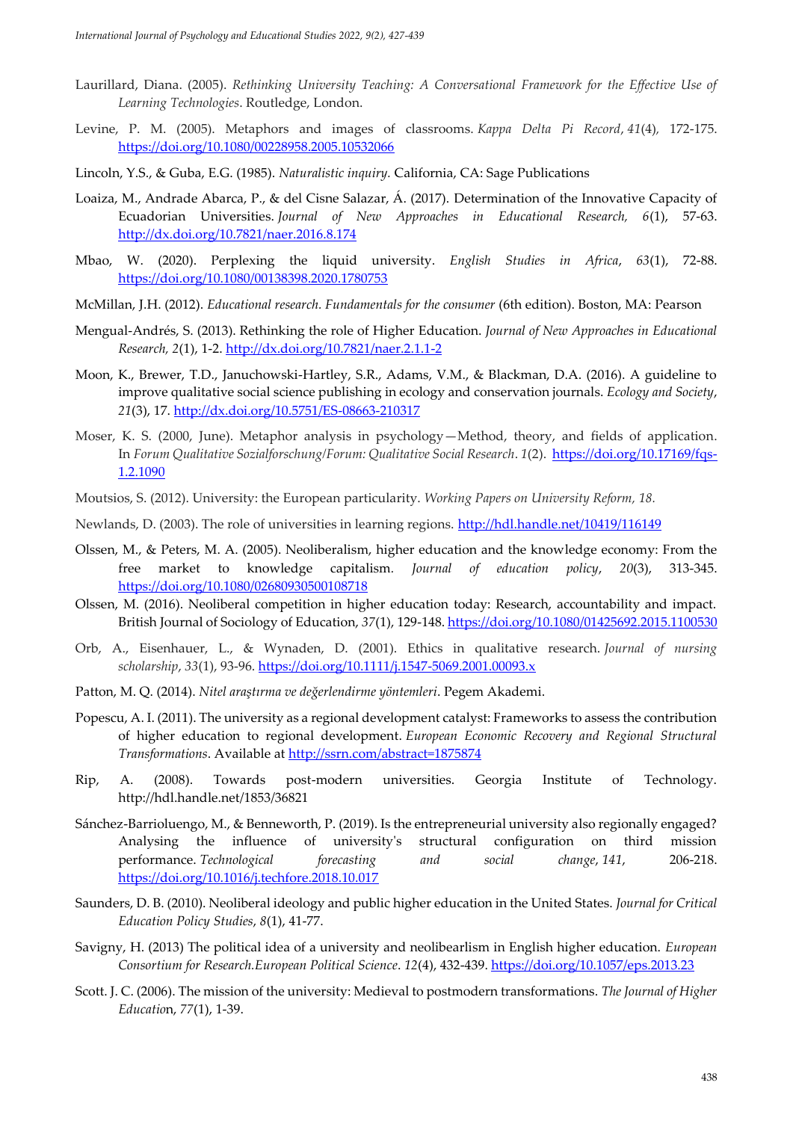- <span id="page-11-4"></span>Laurillard, Diana. (2005). *Rethinking University Teaching: A Conversational Framework for the Effective Use of Learning Technologies*. Routledge, London.
- Levine, P. M. (2005). Metaphors and images of classrooms. *Kappa Delta Pi Record*, *41*(4)*,* 172-175. <https://doi.org/10.1080/00228958.2005.10532066>
- Lincoln, Y.S., & Guba, E.G. (1985). *Naturalistic inquiry.* California, CA: Sage Publications
- <span id="page-11-5"></span>Loaiza, M., Andrade Abarca, P., & del Cisne Salazar, Á. (2017). Determination of the Innovative Capacity of Ecuadorian Universities. *Journal of New Approaches in Educational Research, 6*(1), 57-63. <http://dx.doi.org/10.7821/naer.2016.8.174>
- <span id="page-11-3"></span>Mbao, W. (2020). Perplexing the liquid university. *English Studies in Africa*, *63*(1), 72-88. <https://doi.org/10.1080/00138398.2020.1780753>
- McMillan, J.H. (2012). *Educational research. Fundamentals for the consumer* (6th edition). Boston, MA: Pearson
- Mengual-Andrés, S. (2013). Rethinking the role of Higher Education. *Journal of New Approaches in Educational Research, 2*(1), 1-2[. http://dx.doi.org/10.7821/naer.2.1.1-2](http://dx.doi.org/10.7821/naer.2.1.1-2)
- Moon, K., Brewer, T.D., Januchowski-Hartley, S.R., Adams, V.M., & Blackman, D.A. (2016). A guideline to improve qualitative social science publishing in ecology and conservation journals. *Ecology and Society*, *21*(3), 17.<http://dx.doi.org/10.5751/ES-08663-210317>
- Moser, K. S. (2000, June). Metaphor analysis in psychology—Method, theory, and fields of application. In *Forum Qualitative Sozialforschung/Forum: Qualitative Social Research*. *1*(2). [https://doi.org/10.17169/fqs-](https://doi.org/10.17169/fqs-1.2.1090)[1.2.1090](https://doi.org/10.17169/fqs-1.2.1090)
- <span id="page-11-2"></span>Moutsios, S. (2012). University: the European particularity. *Working Papers on University Reform, 18.*
- <span id="page-11-8"></span>Newlands, D. (2003). The role of universities in learning regions. <http://hdl.handle.net/10419/116149>
- Olssen, M., & Peters, M. A. (2005). Neoliberalism, higher education and the knowledge economy: From the free market to knowledge capitalism*. Journal of education policy*, *20*(3), 313-345. <https://doi.org/10.1080/02680930500108718>
- Olssen, M. (2016). Neoliberal competition in higher education today: Research, accountability and impact. British Journal of Sociology of Education, *37*(1), 129-148[. https://doi.org/10.1080/01425692.2015.1100530](https://doi.org/10.1080/01425692.2015.1100530)
- Orb, A., Eisenhauer, L., & Wynaden, D. (2001). Ethics in qualitative research. *Journal of nursing scholarship*, *33*(1), 93-96. <https://doi.org/10.1111/j.1547-5069.2001.00093.x>
- Patton, M. Q. (2014). *Nitel araştırma ve değerlendirme yöntemleri*. Pegem Akademi.
- <span id="page-11-6"></span>Popescu, A. I. (2011). The university as a regional development catalyst: Frameworks to assess the contribution of higher education to regional development. *European Economic Recovery and Regional Structural Transformations*. Available at<http://ssrn.com/abstract=1875874>
- <span id="page-11-0"></span>Rip, A. (2008). Towards post-modern universities. Georgia Institute of Technology. <http://hdl.handle.net/1853/36821>
- <span id="page-11-7"></span>Sánchez-Barrioluengo, M., & Benneworth, P. (2019). Is the entrepreneurial university also regionally engaged? Analysing the influence of university's structural configuration on third mission performance. *Technological forecasting and social change*, *141*, 206-218. <https://doi.org/10.1016/j.techfore.2018.10.017>
- Saunders, D. B. (2010). Neoliberal ideology and public higher education in the United States. *Journal for Critical Education Policy Studies*, *8*(1), 41-77.
- Savigny, H. (2013) The political idea of a university and neolibearlism in English higher education. *European Consortium for Research.European Political Science*. *12*(4), 432-439. <https://doi.org/10.1057/eps.2013.23>
- <span id="page-11-1"></span>Scott. J. C. (2006). The mission of the university: Medieval to postmodern transformations. *The Journal of Higher Educatio*n, *77*(1), 1-39.